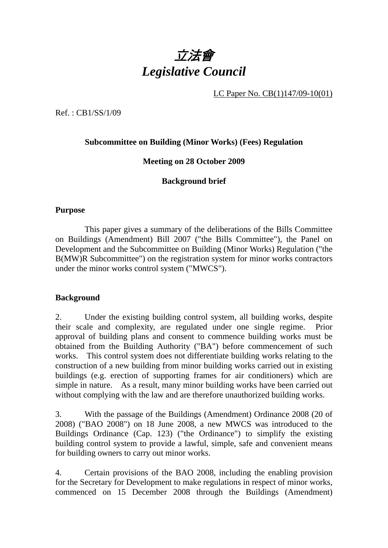

LC Paper No. CB(1)147/09-10(01)

Ref. : CB1/SS/1/09

## **Subcommittee on Building (Minor Works) (Fees) Regulation**

## **Meeting on 28 October 2009**

## **Background brief**

#### **Purpose**

 This paper gives a summary of the deliberations of the Bills Committee on Buildings (Amendment) Bill 2007 ("the Bills Committee"), the Panel on Development and the Subcommittee on Building (Minor Works) Regulation ("the B(MW)R Subcommittee") on the registration system for minor works contractors under the minor works control system ("MWCS").

#### **Background**

2. Under the existing building control system, all building works, despite their scale and complexity, are regulated under one single regime. Prior approval of building plans and consent to commence building works must be obtained from the Building Authority ("BA") before commencement of such works. This control system does not differentiate building works relating to the construction of a new building from minor building works carried out in existing buildings (e.g. erection of supporting frames for air conditioners) which are simple in nature. As a result, many minor building works have been carried out without complying with the law and are therefore unauthorized building works.

3. With the passage of the Buildings (Amendment) Ordinance 2008 (20 of 2008) ("BAO 2008") on 18 June 2008, a new MWCS was introduced to the Buildings Ordinance (Cap. 123) ("the Ordinance") to simplify the existing building control system to provide a lawful, simple, safe and convenient means for building owners to carry out minor works.

4. Certain provisions of the BAO 2008, including the enabling provision for the Secretary for Development to make regulations in respect of minor works, commenced on 15 December 2008 through the Buildings (Amendment)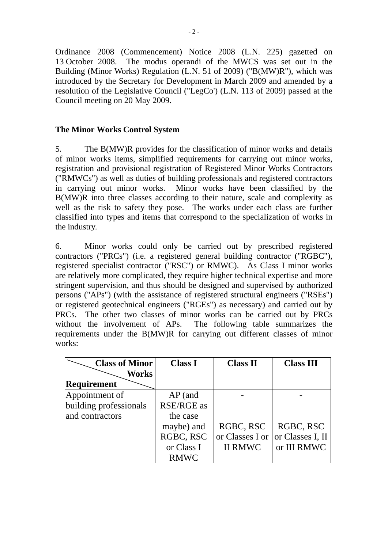Ordinance 2008 (Commencement) Notice 2008 (L.N. 225) gazetted on 13 October 2008. The modus operandi of the MWCS was set out in the Building (Minor Works) Regulation (L.N. 51 of 2009) ("B(MW)R"), which was introduced by the Secretary for Development in March 2009 and amended by a resolution of the Legislative Council ("LegCo') (L.N. 113 of 2009) passed at the Council meeting on 20 May 2009.

## **The Minor Works Control System**

5. The B(MW)R provides for the classification of minor works and details of minor works items, simplified requirements for carrying out minor works, registration and provisional registration of Registered Minor Works Contractors ("RMWCs") as well as duties of building professionals and registered contractors in carrying out minor works. Minor works have been classified by the B(MW)R into three classes according to their nature, scale and complexity as well as the risk to safety they pose. The works under each class are further classified into types and items that correspond to the specialization of works in the industry.

6. Minor works could only be carried out by prescribed registered contractors ("PRCs") (i.e. a registered general building contractor ("RGBC"), registered specialist contractor ("RSC") or RMWC). As Class I minor works are relatively more complicated, they require higher technical expertise and more stringent supervision, and thus should be designed and supervised by authorized persons ("APs") (with the assistance of registered structural engineers ("RSEs") or registered geotechnical engineers ("RGEs") as necessary) and carried out by PRCs. The other two classes of minor works can be carried out by PRCs without the involvement of APs. The following table summarizes the requirements under the B(MW)R for carrying out different classes of minor works:

| <b>Class of Minor</b>  | <b>Class I</b>    | <b>Class II</b> | <b>Class III</b> |
|------------------------|-------------------|-----------------|------------------|
| <b>Works</b>           |                   |                 |                  |
| <b>Requirement</b>     |                   |                 |                  |
| Appointment of         | $AP$ (and         |                 |                  |
| building professionals | <b>RSE/RGE</b> as |                 |                  |
| and contractors        | the case          |                 |                  |
|                        | maybe) and        | RGBC, RSC       | RGBC, RSC        |
|                        | RGBC, RSC         | or Classes I or | or Classes I, II |
|                        | or Class I        | <b>II RMWC</b>  | or III RMWC      |
|                        | <b>RMWC</b>       |                 |                  |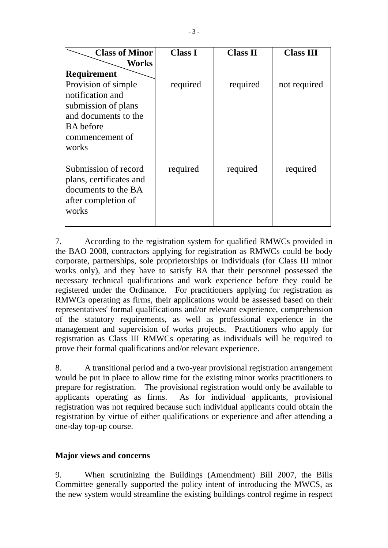| <b>Class of Minor</b>                                                                                                           | <b>Class I</b> | <b>Class II</b> | <b>Class III</b> |
|---------------------------------------------------------------------------------------------------------------------------------|----------------|-----------------|------------------|
| Works                                                                                                                           |                |                 |                  |
| <b>Requirement</b>                                                                                                              |                |                 |                  |
| Provision of simple<br>notification and<br>submission of plans<br>and documents to the<br>BA before<br>commencement of<br>works | required       | required        | not required     |
| Submission of record<br>plans, certificates and<br>documents to the BA<br>after completion of<br>works                          | required       | required        | required         |

7. According to the registration system for qualified RMWCs provided in the BAO 2008, contractors applying for registration as RMWCs could be body corporate, partnerships, sole proprietorships or individuals (for Class III minor works only), and they have to satisfy BA that their personnel possessed the necessary technical qualifications and work experience before they could be registered under the Ordinance. For practitioners applying for registration as RMWCs operating as firms, their applications would be assessed based on their representatives' formal qualifications and/or relevant experience, comprehension of the statutory requirements, as well as professional experience in the management and supervision of works projects. Practitioners who apply for registration as Class III RMWCs operating as individuals will be required to prove their formal qualifications and/or relevant experience.

8. A transitional period and a two-year provisional registration arrangement would be put in place to allow time for the existing minor works practitioners to prepare for registration. The provisional registration would only be available to applicants operating as firms. As for individual applicants, provisional registration was not required because such individual applicants could obtain the registration by virtue of either qualifications or experience and after attending a one-day top-up course.

## **Major views and concerns**

9. When scrutinizing the Buildings (Amendment) Bill 2007, the Bills Committee generally supported the policy intent of introducing the MWCS, as the new system would streamline the existing buildings control regime in respect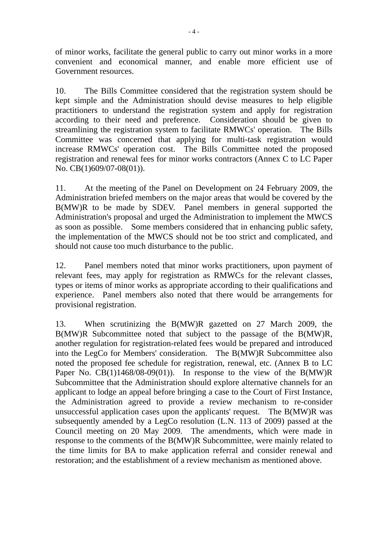of minor works, facilitate the general public to carry out minor works in a more convenient and economical manner, and enable more efficient use of Government resources.

10. The Bills Committee considered that the registration system should be kept simple and the Administration should devise measures to help eligible practitioners to understand the registration system and apply for registration according to their need and preference. Consideration should be given to streamlining the registration system to facilitate RMWCs' operation. The Bills Committee was concerned that applying for multi-task registration would increase RMWCs' operation cost. The Bills Committee noted the proposed registration and renewal fees for minor works contractors (Annex C to LC Paper No. CB(1)609/07-08(01)).

11. At the meeting of the Panel on Development on 24 February 2009, the Administration briefed members on the major areas that would be covered by the B(MW)R to be made by SDEV. Panel members in general supported the Administration's proposal and urged the Administration to implement the MWCS as soon as possible. Some members considered that in enhancing public safety, the implementation of the MWCS should not be too strict and complicated, and should not cause too much disturbance to the public.

12. Panel members noted that minor works practitioners, upon payment of relevant fees, may apply for registration as RMWCs for the relevant classes, types or items of minor works as appropriate according to their qualifications and experience. Panel members also noted that there would be arrangements for provisional registration.

13. When scrutinizing the B(MW)R gazetted on 27 March 2009, the B(MW)R Subcommittee noted that subject to the passage of the B(MW)R, another regulation for registration-related fees would be prepared and introduced into the LegCo for Members' consideration. The B(MW)R Subcommittee also noted the proposed fee schedule for registration, renewal, etc. (Annex B to LC Paper No.  $CB(1)1468/08-09(01)$ . In response to the view of the  $B(MW)R$ Subcommittee that the Administration should explore alternative channels for an applicant to lodge an appeal before bringing a case to the Court of First Instance, the Administration agreed to provide a review mechanism to re-consider unsuccessful application cases upon the applicants' request. The B(MW)R was subsequently amended by a LegCo resolution (L.N. 113 of 2009) passed at the Council meeting on 20 May 2009. The amendments, which were made in response to the comments of the B(MW)R Subcommittee, were mainly related to the time limits for BA to make application referral and consider renewal and restoration; and the establishment of a review mechanism as mentioned above.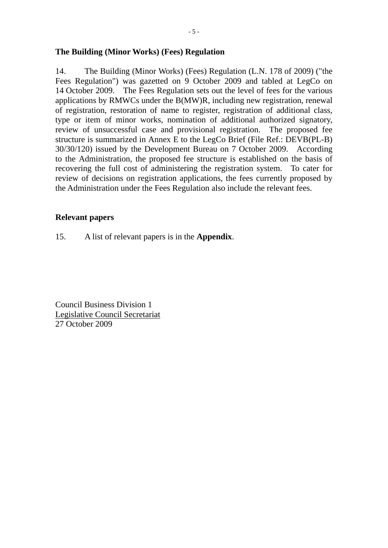### **The Building (Minor Works) (Fees) Regulation**

14. The Building (Minor Works) (Fees) Regulation (L.N. 178 of 2009) ("the Fees Regulation") was gazetted on 9 October 2009 and tabled at LegCo on 14 October 2009. The Fees Regulation sets out the level of fees for the various applications by RMWCs under the B(MW)R, including new registration, renewal of registration, restoration of name to register, registration of additional class, type or item of minor works, nomination of additional authorized signatory, review of unsuccessful case and provisional registration. The proposed fee structure is summarized in Annex E to the LegCo Brief (File Ref.: DEVB(PL-B) 30/30/120) issued by the Development Bureau on 7 October 2009. According to the Administration, the proposed fee structure is established on the basis of recovering the full cost of administering the registration system. To cater for review of decisions on registration applications, the fees currently proposed by the Administration under the Fees Regulation also include the relevant fees.

#### **Relevant papers**

15. A list of relevant papers is in the **Appendix**.

Council Business Division 1 Legislative Council Secretariat 27 October 2009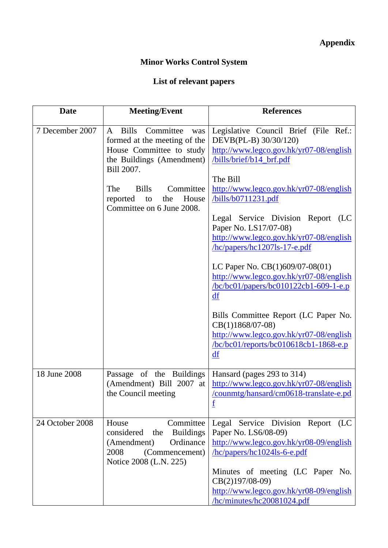# **Minor Works Control System**

## **List of relevant papers**

| <b>Date</b>     | <b>Meeting/Event</b>                                                                                                                                                                                                                            | <b>References</b>                                                                                                                                                                                                                                                                                                                                                                                                                                                                                                                                                                                                                                                                |
|-----------------|-------------------------------------------------------------------------------------------------------------------------------------------------------------------------------------------------------------------------------------------------|----------------------------------------------------------------------------------------------------------------------------------------------------------------------------------------------------------------------------------------------------------------------------------------------------------------------------------------------------------------------------------------------------------------------------------------------------------------------------------------------------------------------------------------------------------------------------------------------------------------------------------------------------------------------------------|
| 7 December 2007 | <b>Bills</b><br>Committee<br>A<br>was<br>formed at the meeting of the<br>House Committee to study<br>the Buildings (Amendment)<br>Bill 2007.<br>Committee<br>The<br><b>Bills</b><br>House<br>the<br>reported<br>to<br>Committee on 6 June 2008. | Legislative Council Brief (File Ref.:<br>DEVB(PL-B) 30/30/120)<br>http://www.legco.gov.hk/yr07-08/english<br>/bills/brief/b14_brf.pdf<br>The Bill<br>http://www.legco.gov.hk/yr07-08/english<br>/bills/b0711231.pdf<br>Legal Service Division Report (LC<br>Paper No. LS17/07-08)<br>http://www.legco.gov.hk/yr07-08/english<br>hc/papers/hc1207ls-17-e.pdf<br>LC Paper No. $CB(1)609/07-08(01)$<br>http://www.legco.gov.hk/yr07-08/english<br>$/bc/bc01/papers/bc010122cb1-609-1-e.p$<br>$\underline{df}$<br>Bills Committee Report (LC Paper No.<br>CB(1)1868/07-08)<br>http://www.legco.gov.hk/yr07-08/english<br>$bc/bc01$ /reports/bc010618cb1-1868-e.p<br>$\underline{df}$ |
| 18 June 2008    | Passage of the Buildings<br>(Amendment) Bill 2007 at<br>the Council meeting                                                                                                                                                                     | Hansard (pages 293 to 314)<br>http://www.legco.gov.hk/yr07-08/english<br>/counmtg/hansard/cm0618-translate-e.pd<br>$\underline{\mathbf{f}}$                                                                                                                                                                                                                                                                                                                                                                                                                                                                                                                                      |
| 24 October 2008 | House<br>Committee<br>considered<br>the Buildings<br>Ordinance<br>(Amendment)<br>2008<br>(Commencement)<br>Notice 2008 (L.N. 225)                                                                                                               | Legal Service Division Report<br>(LC)<br>Paper No. LS6/08-09)<br>http://www.legco.gov.hk/yr08-09/english<br>hc/papers/hc1024ls-6-e.pdf<br>Minutes of meeting (LC Paper No.<br>CB(2)197/08-09)<br>http://www.legco.gov.hk/yr08-09/english<br>hc/minutes/hc20081024.pdf                                                                                                                                                                                                                                                                                                                                                                                                            |